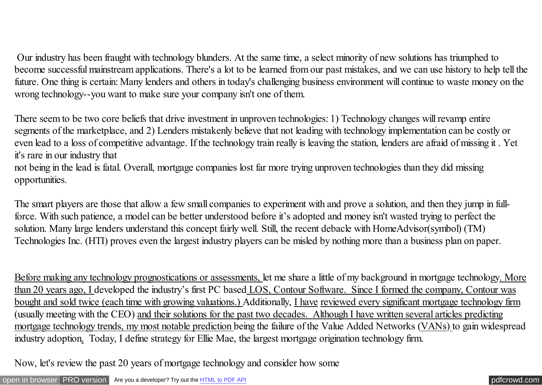Our industry has been fraught with technology blunders. At the same time, a select minority of new solutions has triumphed to become successful mainstream applications. There's a lot to be learned from our past mistakes, and we can use history to help tell the future. One thing is certain: Many lenders and others in today's challenging business environment will continue to waste money on the wrong technology--you want to make sure your company isn't one of them.

There seem to be two core beliefs that drive investment in unproven technologies: 1) Technology changes will revamp entire segments of the marketplace, and 2) Lenders mistakenly believe that not leading with technology implementation can be costly or even lead to a loss of competitive advantage. If the technology train really is leaving the station, lenders are afraid of missing it . Yet it's rare in our industry that

not being in the lead is fatal. Overall, mortgage companies lost far more trying unproven technologies than they did missing opportunities.

The smart players are those that allow a few small companies to experiment with and prove a solution, and then they jump in fullforce. With such patience, a model can be better understood before it's adopted and money isn't wasted trying to perfect the solution. Many large lenders understand this concept fairly well. Still, the recent debacle with HomeAdvisor(symbol) (TM) Technologies Inc. (HTI) proves even the largest industry players can be misled by nothing more than a business plan on paper.

Before making any technology prognostications or assessments, let me share a little of my background in mortgage technology. More than 20 years ago, I developed the industry's first PC based LOS, Contour Software. Since I formed the company, Contour was bought and sold twice (each time with growing valuations.) Additionally, I have reviewed every significant mortgage technology firm (usually meeting with the CEO) and their solutions for the past two decades. Although I have written several articles predicting mortgage technology trends, my most notable prediction being the failure of the Value Added Networks (VANs) to gain widespread industry adoption. Today, I define strategy for Ellie Mae, the largest mortgage origination technology firm.

Now, let's review the past 20 years of mortgage technology and consider how some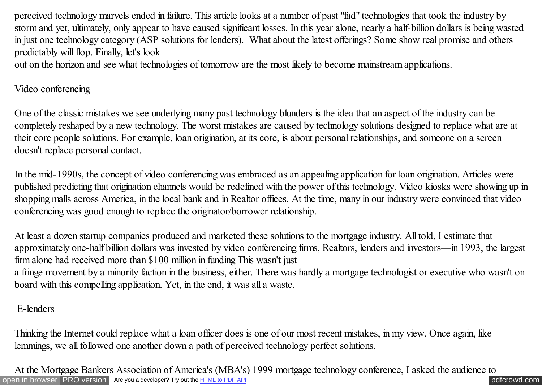perceived technology marvels ended in failure. This article looks at a number of past "fad" technologies that took the industry by storm and yet, ultimately, only appear to have caused significant losses. In this year alone, nearly a half-billion dollars is being wasted in just one technology category (ASP solutions for lenders). What about the latest offerings? Some show real promise and others predictably will flop. Finally, let's look

out on the horizon and see what technologies of tomorrow are the most likely to become mainstream applications.

#### Video conferencing

One of the classic mistakes we see underlying many past technology blunders is the idea that an aspect of the industry can be completely reshaped by a new technology. The worst mistakes are caused by technology solutions designed to replace what are at their core people solutions. For example, loan origination, at its core, is about personal relationships, and someone on a screen doesn't replace personal contact.

In the mid-1990s, the concept of video conferencing was embraced as an appealing application for loan origination. Articles were published predicting that origination channels would be redefined with the power of this technology. Video kiosks were showing up in shopping malls across America, in the local bank and in Realtor offices. At the time, many in our industry were convinced that video conferencing was good enough to replace the originator/borrower relationship.

At least a dozen startup companies produced and marketed these solutions to the mortgage industry. All told, I estimate that approximately one-half billion dollars was invested by video conferencing firms, Realtors, lenders and investors—in 1993, the largest firm alone had received more than \$100 million in funding This wasn't just

a fringe movement by a minority faction in the business, either. There was hardly a mortgage technologist or executive who wasn't on board with this compelling application. Yet, in the end, it was all a waste.

### E-lenders

Thinking the Internet could replace what a loan officer does is one of our most recent mistakes, in my view. Once again, like lemmings, we all followed one another down a path of perceived technology perfect solutions.

[open in browser](http://pdfcrowd.com/redirect/?url=http%3a%2f%2fscooley.com%2fmbapredc.htm&id=ma-140811215950-afeba5c4) [PRO version](http://pdfcrowd.com/customize/) Are you a developer? Try out th[e HTML to PDF API](http://pdfcrowd.com/html-to-pdf-api/?ref=pdf) performance of the Area and the Area posterior of the Area posterior of the Area posterior of the Area posterior of the Area posterior of the Are At the Mortgage Bankers Association of America's (MBA's) 1999 mortgage technology conference, I asked the audience to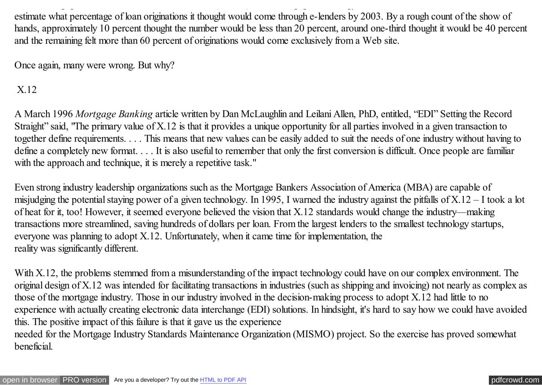estimate what percentage of loan originations it thought would come through e-lenders by 2003. By a rough count of the show of hands, approximately 10 percent thought the number would be less than 20 percent, around one-third thought it would be 40 percent and the remaining felt more than 60 percent of originations would come exclusively from a Web site.

At the Mortgage Bankers Association of America's (MBA's) 1999 mortgage technology conference, I asked the audience to

Once again, many were wrong. But why?

X.12

A March 1996 *Mortgage Banking* article written by Dan McLaughlin and Leilani Allen, PhD, entitled, "EDI" Setting the Record Straight" said, "The primary value of X.12 is that it provides a unique opportunity for all parties involved in a given transaction to together define requirements. . . . This means that new values can be easily added to suit the needs of one industry without having to define a completely new format. . . . It is also useful to remember that only the first conversion is difficult. Once people are familiar with the approach and technique, it is merely a repetitive task."

Even strong industry leadership organizations such as the Mortgage Bankers Association of America (MBA) are capable of misjudging the potential staying power of a given technology. In 1995, I warned the industry against the pitfalls of X.12 – I took a lot of heat for it, too! However, it seemed everyone believed the vision that X.12 standards would change the industry—making transactions more streamlined, saving hundreds of dollars per loan. From the largest lenders to the smallest technology startups, everyone was planning to adopt X.12. Unfortunately, when it came time for implementation, the reality was significantly different.

With X.12, the problems stemmed from a misunderstanding of the impact technology could have on our complex environment. The original design of X.12 was intended for facilitating transactions in industries (such as shipping and invoicing) not nearly as complex as those of the mortgage industry. Those in our industry involved in the decision-making process to adopt X.12 had little to no experience with actually creating electronic data interchange (EDI) solutions. In hindsight, it's hard to say how we could have avoided this. The positive impact of this failure is that it gave us the experience

needed for the Mortgage Industry Standards Maintenance Organization (MISMO) project. So the exercise has proved somewhat beneficial.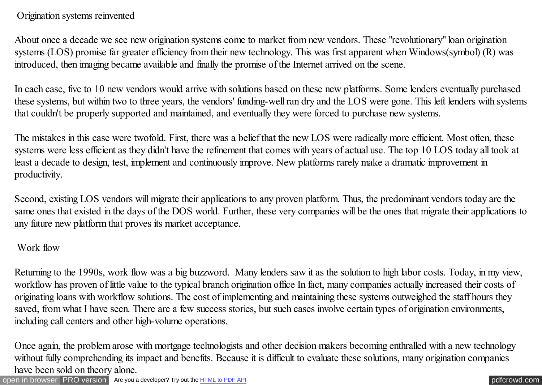### Origination systems reinvented

About once a decade we see new origination systems come to market from new vendors. These "revolutionary" loan origination systems (LOS) promise far greater efficiency from their new technology. This was first apparent when Windows(symbol) (R) was introduced, then imaging became available and finally the promise of the Internet arrived on the scene.

In each case, five to 10 new vendors would arrive with solutions based on these new platforms. Some lenders eventually purchased these systems, but within two to three years, the vendors' funding-well ran dry and the LOS were gone. This left lenders with systems that couldn't be properly supported and maintained, and eventually they were forced to purchase new systems.

The mistakes in this case were twofold. First, there was a belief that the new LOS were radically more efficient. Most often, these systems were less efficient as they didn't have the refinement that comes with years of actual use. The top 10 LOS today all took at least a decade to design, test, implement and continuously improve. New platforms rarely make a dramatic improvement in productivity.

Second, existing LOS vendors will migrate their applications to any proven platform. Thus, the predominant vendors today are the same ones that existed in the days of the DOS world. Further, these very companies will be the ones that migrate their applications to any future new platform that proves its market acceptance.

# Work flow

Returning to the 1990s, work flow was a big buzzword. Many lenders saw it as the solution to high labor costs. Today, in my view, workflow has proven of little value to the typical branch origination office In fact, many companies actually increased their costs of originating loans with workflow solutions. The cost of implementing and maintaining these systems outweighed the staff hours they saved, from what I have seen. There are a few success stories, but such cases involve certain types of origination environments, including call centers and other high-volume operations.

Once again, the problem arose with mortgage technologists and other decision makers becoming enthralled with a new technology without fully comprehending its impact and benefits. Because it is difficult to evaluate these solutions, many origination companies have been sold on theory alone.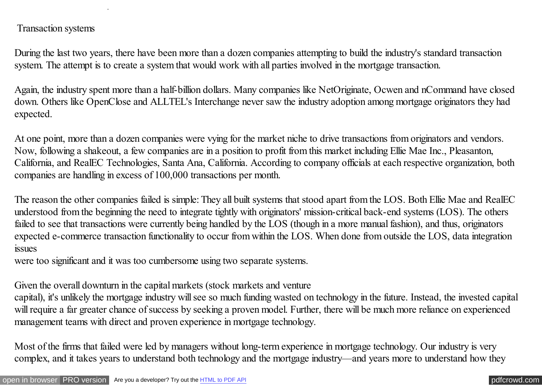#### Transaction systems

During the last two years, there have been more than a dozen companies attempting to build the industry's standard transaction system. The attempt is to create a system that would work with all parties involved in the mortgage transaction.

Again, the industry spent more than a half-billion dollars. Many companies like NetOriginate, Ocwen and nCommand have closed down. Others like OpenClose and ALLTEL's Interchange never saw the industry adoption among mortgage originators they had expected.

At one point, more than a dozen companies were vying for the market niche to drive transactions from originators and vendors. Now, following a shakeout, a few companies are in a position to profit from this market including Ellie Mae Inc., Pleasanton, California, and RealEC Technologies, Santa Ana, California. According to company officials at each respective organization, both companies are handling in excess of 100,000 transactions per month.

The reason the other companies failed is simple: They all built systems that stood apart from the LOS. Both Ellie Mae and RealEC understood from the beginning the need to integrate tightly with originators' mission-critical back-end systems (LOS). The others failed to see that transactions were currently being handled by the LOS (though in a more manual fashion), and thus, originators expected e-commerce transaction functionality to occur from within the LOS. When done from outside the LOS, data integration issues

were too significant and it was too cumbersome using two separate systems.

Given the overall downturn in the capital markets (stock markets and venture

capital), it's unlikely the mortgage industry will see so much funding wasted on technology in the future. Instead, the invested capital will require a far greater chance of success by seeking a proven model. Further, there will be much more reliance on experienced management teams with direct and proven experience in mortgage technology.

Most of the firms that failed were led by managers without long-term experience in mortgage technology. Our industry is very complex, and it takes years to understand both technology and the mortgage industry—and years more to understand how they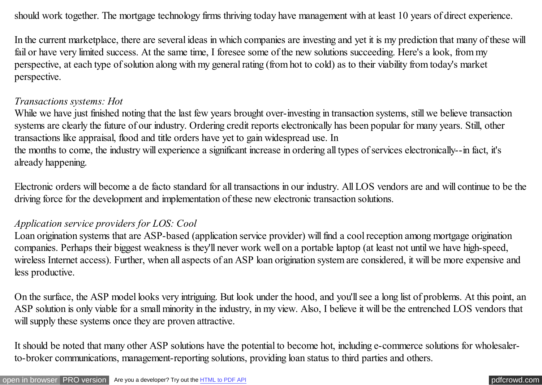should work together. The mortgage technology firms thriving today have management with at least 10 years of direct experience.

In the current marketplace, there are several ideas in which companies are investing and yet it is my prediction that many of these will fail or have very limited success. At the same time, I foresee some of the new solutions succeeding. Here's a look, from my perspective, at each type of solution along with my general rating (from hot to cold) as to their viability from today's market perspective.

#### *Transactions systems: Hot*

While we have just finished noting that the last few years brought over-investing in transaction systems, still we believe transaction systems are clearly the future of our industry. Ordering credit reports electronically has been popular for many years. Still, other transactions like appraisal, flood and title orders have yet to gain widespread use. In

the months to come, the industry will experience a significant increase in ordering all types of services electronically--in fact, it's already happening.

Electronic orders will become a de facto standard for all transactions in our industry. All LOS vendors are and will continue to be the driving force for the development and implementation of these new electronic transaction solutions.

#### *Application service providers for LOS: Cool*

Loan origination systems that are ASP-based (application service provider) will find a cool reception among mortgage origination companies. Perhaps their biggest weakness is they'll never work well on a portable laptop (at least not until we have high-speed, wireless Internet access). Further, when all aspects of an ASP loan origination system are considered, it will be more expensive and less productive.

On the surface, the ASP model looks very intriguing. But look under the hood, and you'll see a long list of problems. At this point, an ASP solution is only viable for a small minority in the industry, in my view. Also, I believe it will be the entrenched LOS vendors that will supply these systems once they are proven attractive.

It should be noted that many other ASP solutions have the potential to become hot, including e-commerce solutions for wholesalerto-broker communications, management-reporting solutions, providing loan status to third parties and others.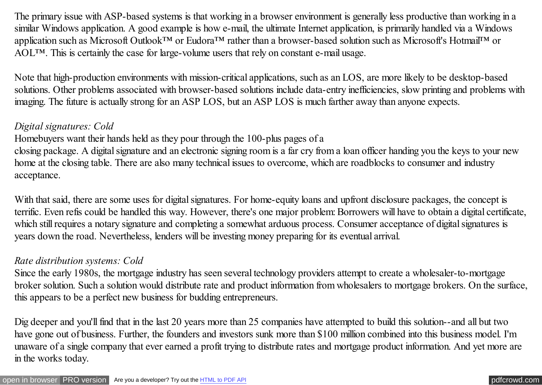The primary issue with ASP-based systems is that working in a browser environment is generally less productive than working in a similar Windows application. A good example is how e-mail, the ultimate Internet application, is primarily handled via a Windows application such as Microsoft Outlook™ or Eudora™ rather than a browser-based solution such as Microsoft's Hotmail™ or AOL™. This is certainly the case for large-volume users that rely on constant e-mail usage.

Note that high-production environments with mission-critical applications, such as an LOS, are more likely to be desktop-based solutions. Other problems associated with browser-based solutions include data-entry inefficiencies, slow printing and problems with imaging. The future is actually strong for an ASP LOS, but an ASP LOS is much farther away than anyone expects.

### *Digital signatures: Cold*

Homebuyers want their hands held as they pour through the 100-plus pages of a

closing package. A digital signature and an electronic signing room is a far cry from a loan officer handing you the keys to your new home at the closing table. There are also many technical issues to overcome, which are roadblocks to consumer and industry acceptance.

With that said, there are some uses for digital signatures. For home-equity loans and upfront disclosure packages, the concept is terrific. Even refis could be handled this way. However, there's one major problem: Borrowers will have to obtain a digital certificate, which still requires a notary signature and completing a somewhat arduous process. Consumer acceptance of digital signatures is years down the road. Nevertheless, lenders will be investing money preparing for its eventual arrival.

#### *Rate distribution systems: Cold*

Since the early 1980s, the mortgage industry has seen several technology providers attempt to create a wholesaler-to-mortgage broker solution. Such a solution would distribute rate and product information from wholesalers to mortgage brokers. On the surface, this appears to be a perfect new business for budding entrepreneurs.

Dig deeper and you'll find that in the last 20 years more than 25 companies have attempted to build this solution--and all but two have gone out of business. Further, the founders and investors sunk more than \$100 million combined into this business model. I'm unaware of a single company that ever earned a profit trying to distribute rates and mortgage product information. And yet more are in the works today.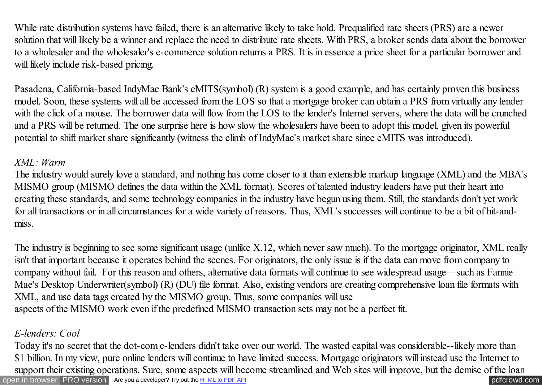While rate distribution systems have failed, there is an alternative likely to take hold. Prequalified rate sheets (PRS) are a newer solution that will likely be a winner and replace the need to distribute rate sheets. With PRS, a broker sends data about the borrower to a wholesaler and the wholesaler's e-commerce solution returns a PRS. It is in essence a price sheet for a particular borrower and will likely include risk-based pricing.

Pasadena, California-based IndyMac Bank's eMITS(symbol) (R) system is a good example, and has certainly proven this business model. Soon, these systems will all be accessed from the LOS so that a mortgage broker can obtain a PRS from virtually any lender with the click of a mouse. The borrower data will flow from the LOS to the lender's Internet servers, where the data will be crunched and a PRS will be returned. The one surprise here is how slow the wholesalers have been to adopt this model, given its powerful potential to shift market share significantly (witness the climb of IndyMac's market share since eMITS was introduced).

### *XML: Warm*

The industry would surely love a standard, and nothing has come closer to it than extensible markup language (XML) and the MBA's MISMO group (MISMO defines the data within the XML format). Scores of talented industry leaders have put their heart into creating these standards, and some technology companies in the industry have begun using them. Still, the standards don't yet work for all transactions or in all circumstances for a wide variety of reasons. Thus, XML's successes will continue to be a bit of hit-andmiss.

The industry is beginning to see some significant usage (unlike X.12, which never saw much). To the mortgage originator, XML really isn't that important because it operates behind the scenes. For originators, the only issue is if the data can move from company to company without fail. For this reason and others, alternative data formats will continue to see widespread usage—such as Fannie Mae's Desktop Underwriter(symbol) (R) (DU) file format. Also, existing vendors are creating comprehensive loan file formats with XML, and use data tags created by the MISMO group. Thus, some companies will use aspects of the MISMO work even if the predefined MISMO transaction sets may not be a perfect fit.

### *E-lenders: Cool*

[open in browser](http://pdfcrowd.com/redirect/?url=http%3a%2f%2fscooley.com%2fmbapredc.htm&id=ma-140811215950-afeba5c4) [PRO version](http://pdfcrowd.com/customize/) Are you a developer? Try out th[e HTML to PDF API](http://pdfcrowd.com/html-to-pdf-api/?ref=pdf) compared and the ATML to PDF API [pdfcrowd.com](http://pdfcrowd.com) Today it's no secret that the dot-com e-lenders didn't take over our world. The wasted capital was considerable--likely more than \$1 billion. In my view, pure online lenders will continue to have limited success. Mortgage originators will instead use the Internet to support their existing operations. Sure, some aspects will become streamlined and Web sites will improve, but the demise of the loan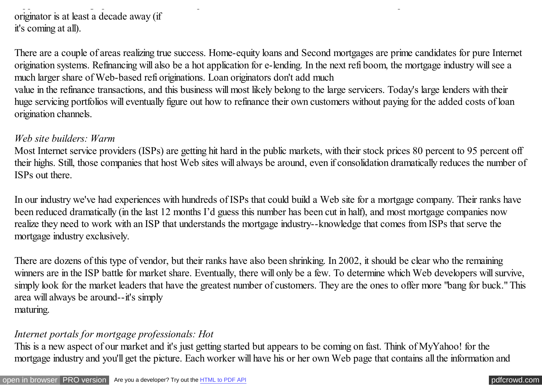### support their existing operations. Sure, some aspects will become streamlined and Web sites will improve, but the demise of the loan originator is at least a decade away (if it's coming at all).

There are a couple of areas realizing true success. Home-equity loans and Second mortgages are prime candidates for pure Internet origination systems. Refinancing will also be a hot application for e-lending. In the next refi boom, the mortgage industry will see a much larger share of Web-based refi originations. Loan originators don't add much

value in the refinance transactions, and this business will most likely belong to the large servicers. Today's large lenders with their huge servicing portfolios will eventually figure out how to refinance their own customers without paying for the added costs of loan origination channels.

#### *Web site builders: Warm*

Most Internet service providers (ISPs) are getting hit hard in the public markets, with their stock prices 80 percent to 95 percent off their highs. Still, those companies that host Web sites will always be around, even if consolidation dramatically reduces the number of ISPs out there.

In our industry we've had experiences with hundreds of ISPs that could build a Web site for a mortgage company. Their ranks have been reduced dramatically (in the last 12 months I'd guess this number has been cut in half), and most mortgage companies now realize they need to work with an ISP that understands the mortgage industry--knowledge that comes from ISPs that serve the mortgage industry exclusively.

There are dozens of this type of vendor, but their ranks have also been shrinking. In 2002, it should be clear who the remaining winners are in the ISP battle for market share. Eventually, there will only be a few. To determine which Web developers will survive, simply look for the market leaders that have the greatest number of customers. They are the ones to offer more "bang for buck." This area will always be around--it's simply maturing.

### *Internet portals for mortgage professionals: Hot*

This is a new aspect of our market and it's just getting started but appears to be coming on fast. Think of MyYahoo! for the mortgage industry and you'll get the picture. Each worker will have his or her own Web page that contains all the information and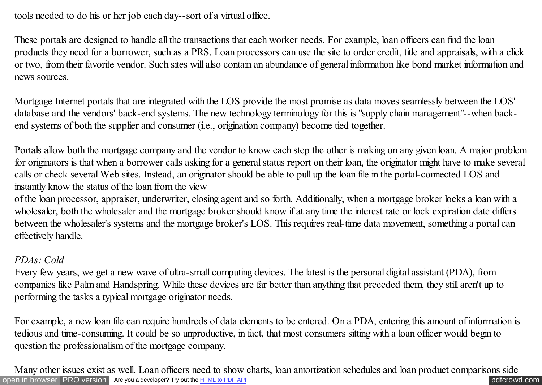tools needed to do his or her job each day--sort of a virtual office.

These portals are designed to handle all the transactions that each worker needs. For example, loan officers can find the loan products they need for a borrower, such as a PRS. Loan processors can use the site to order credit, title and appraisals, with a click or two, from their favorite vendor. Such sites will also contain an abundance of general information like bond market information and news sources.

Mortgage Internet portals that are integrated with the LOS provide the most promise as data moves seamlessly between the LOS' database and the vendors' back-end systems. The new technology terminology for this is "supply chain management"--when backend systems of both the supplier and consumer (i.e., origination company) become tied together.

Portals allow both the mortgage company and the vendor to know each step the other is making on any given loan. A major problem for originators is that when a borrower calls asking for a general status report on their loan, the originator might have to make several calls or check several Web sites. Instead, an originator should be able to pull up the loan file in the portal-connected LOS and instantly know the status of the loan from the view

of the loan processor, appraiser, underwriter, closing agent and so forth. Additionally, when a mortgage broker locks a loan with a wholesaler, both the wholesaler and the mortgage broker should know if at any time the interest rate or lock expiration date differs between the wholesaler's systems and the mortgage broker's LOS. This requires real-time data movement, something a portal can effectively handle.

# *PDAs: Cold*

Every few years, we get a new wave of ultra-small computing devices. The latest is the personal digital assistant (PDA), from companies like Palm and Handspring. While these devices are far better than anything that preceded them, they still aren't up to performing the tasks a typical mortgage originator needs.

For example, a new loan file can require hundreds of data elements to be entered. On a PDA, entering this amount of information is tedious and time-consuming. It could be so unproductive, in fact, that most consumers sitting with a loan officer would begin to question the professionalism of the mortgage company.

[open in browser](http://pdfcrowd.com/redirect/?url=http%3a%2f%2fscooley.com%2fmbapredc.htm&id=ma-140811215950-afeba5c4) [PRO version](http://pdfcrowd.com/customize/) Are you a developer? Try out th[e HTML to PDF API](http://pdfcrowd.com/html-to-pdf-api/?ref=pdf) performance of the Area and the Area posterior of the Area posterior of the Area posterior of the Area posterior of the Area posterior of the Are Many other issues exist as well. Loan officers need to show charts, loan amortization schedules and loan product comparisons side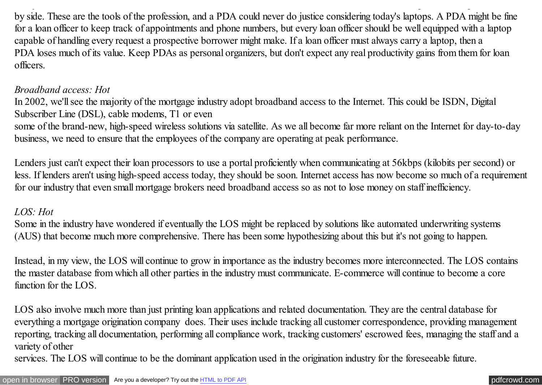by side. These are the tools of the profession, and a PDA could never do justice considering today's laptops. A PDA might be fine for a loan officer to keep track of appointments and phone numbers, but every loan officer should be well equipped with a laptop capable of handling every request a prospective borrower might make. If a loan officer must always carry a laptop, then a PDA loses much of its value. Keep PDAs as personal organizers, but don't expect any real productivity gains from them for loan officers.

Many other issues exist as well. Loan officers need to show charts, loan amortization schedules and loan product comparisons side

### *Broadband access: Hot*

In 2002, we'll see the majority of the mortgage industry adopt broadband access to the Internet. This could be ISDN, Digital Subscriber Line (DSL), cable modems, T1 or even

some of the brand-new, high-speed wireless solutions via satellite. As we all become far more reliant on the Internet for day-to-day business, we need to ensure that the employees of the company are operating at peak performance.

Lenders just can't expect their loan processors to use a portal proficiently when communicating at 56kbps (kilobits per second) or less. If lenders aren't using high-speed access today, they should be soon. Internet access has now become so much of a requirement for our industry that even small mortgage brokers need broadband access so as not to lose money on staff inefficiency.

# *LOS: Hot*

Some in the industry have wondered if eventually the LOS might be replaced by solutions like automated underwriting systems (AUS) that become much more comprehensive. There has been some hypothesizing about this but it's not going to happen.

Instead, in my view, the LOS will continue to grow in importance as the industry becomes more interconnected. The LOS contains the master database from which all other parties in the industry must communicate. E-commerce will continue to become a core function for the LOS.

LOS also involve much more than just printing loan applications and related documentation. They are the central database for everything a mortgage origination company does. Their uses include tracking all customer correspondence, providing management reporting, tracking all documentation, performing all compliance work, tracking customers' escrowed fees, managing the staff and a variety of other

services. The LOS will continue to be the dominant application used in the origination industry for the foreseeable future.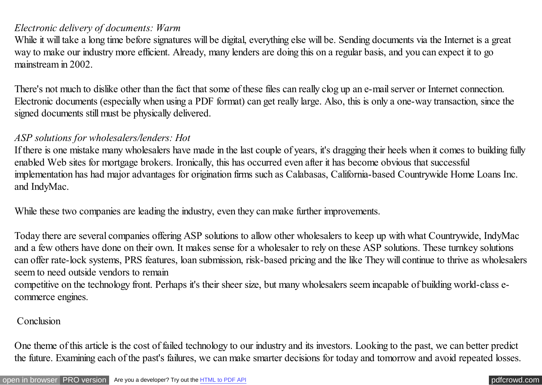#### *Electronic delivery of documents: Warm*

While it will take a long time before signatures will be digital, everything else will be. Sending documents via the Internet is a great way to make our industry more efficient. Already, many lenders are doing this on a regular basis, and you can expect it to go mainstream in 2002.

There's not much to dislike other than the fact that some of these files can really clog up an e-mail server or Internet connection. Electronic documents (especially when using a PDF format) can get really large. Also, this is only a one-way transaction, since the signed documents still must be physically delivered.

### *ASP solutions for wholesalers/lenders: Hot*

If there is one mistake many wholesalers have made in the last couple of years, it's dragging their heels when it comes to building fully enabled Web sites for mortgage brokers. Ironically, this has occurred even after it has become obvious that successful implementation has had major advantages for origination firms such as Calabasas, California-based Countrywide Home Loans Inc. and IndyMac.

While these two companies are leading the industry, even they can make further improvements.

Today there are several companies offering ASP solutions to allow other wholesalers to keep up with what Countrywide, IndyMac and a few others have done on their own. It makes sense for a wholesaler to rely on these ASP solutions. These turnkey solutions can offer rate-lock systems, PRS features, loan submission, risk-based pricing and the like They will continue to thrive as wholesalers seem to need outside vendors to remain competitive on the technology front. Perhaps it's their sheer size, but many wholesalers seem incapable of building world-class ecommerce engines.

#### **Conclusion**

One theme of this article is the cost of failed technology to our industry and its investors. Looking to the past, we can better predict the future. Examining each of the past's failures, we can make smarter decisions for today and tomorrow and avoid repeated losses.